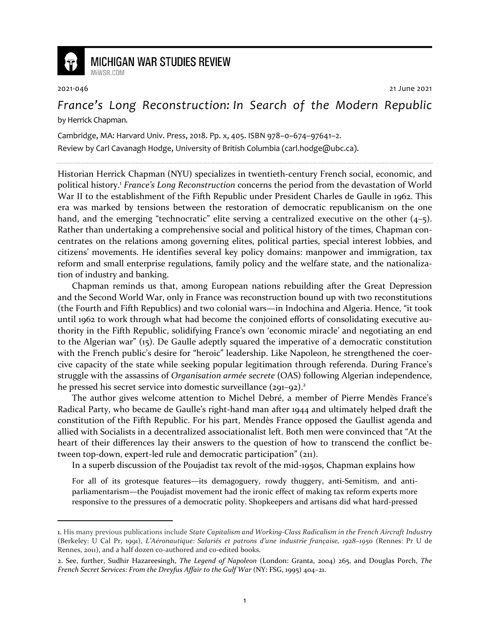

## **MICHIGAN WAR STUDIES REVIEW**

MiWSR COM

2021-046 21 June 2021

*France's Long Reconstruction: In Search of the Modern Republic* by Herrick Chapman.

Cambridge, MA: Harvard Univ. Press, 2018. Pp. x, 405. ISBN 978–0–674–97641–2.

Review by Carl Cavanagh Hodge, University of British Columbia (carl.hodge@ubc.ca).

Historian Herrick Chapman (NYU) specializes in twentieth-century French social, economic, and political history.<sup>1</sup> *France's Long Reconstruction* concerns the period from the devastation of World War II to the establishment of the Fifth Republic under President Charles de Gaulle in 1962. This era was marked by tensions between the restoration of democratic republicanism on the one hand, and the emerging "technocratic" elite serving a centralized executive on the other (4–5). Rather than undertaking a comprehensive social and political history of the times, Chapman concentrates on the relations among governing elites, political parties, special interest lobbies, and citizens' movements. He identifies several key policy domains: manpower and immigration, tax reform and small enterprise regulations, family policy and the welfare state, and the nationalization of industry and banking.

Chapman reminds us that, among European nations rebuilding after the Great Depression and the Second World War, only in France was reconstruction bound up with two reconstitutions (the Fourth and Fifth Republics) and two colonial wars—in Indochina and Algeria. Hence, "it took until 1962 to work through what had become the conjoined efforts of consolidating executive authority in the Fifth Republic, solidifying France's own 'economic miracle' and negotiating an end to the Algerian war" (15). De Gaulle adeptly squared the imperative of a democratic constitution with the French public's desire for "heroic" leadership. Like Napoleon, he strengthened the coercive capacity of the state while seeking popular legitimation through referenda. During France's struggle with the assassins of *Organisation armée secrete* (OAS) following Algerian independence, he pressed his secret service into domestic surveillance (291-92).<sup>2</sup>

The author gives welcome attention to Michel Debré, a member of Pierre Mendès France's Radical Party, who became de Gaulle's right-hand man after 1944 and ultimately helped draft the constitution of the Fifth Republic. For his part, Mendès France opposed the Gaullist agenda and allied with Socialists in a decentralized associationalist left. Both men were convinced that "At the heart of their differences lay their answers to the question of how to transcend the conflict between top-down, expert-led rule and democratic participation" (211).

In a superb discussion of the Poujadist tax revolt of the mid-1950s, Chapman explains how

For all of its grotesque features—its demagoguery, rowdy thuggery, anti-Semitism, and antiparliamentarism—the Poujadist movement had the ironic effect of making tax reform experts more responsive to the pressures of a democratic polity. Shopkeepers and artisans did what hard-pressed

<sup>1.</sup> His many previous publications include *State Capitalism and Working-Class Radicalism in the French Aircraft Industry* (Berkeley: U Cal Pr, 1991), *L'Aéronautique: Salariés et patrons d'une industrie française, 1928–1950* (Rennes: Pr U de Rennes, 2011), and a half dozen co-authored and co-edited books.

<sup>2.</sup> See, further, Sudhir Hazareesingh, *The Legend of Napoleon* (London: Granta, 2004) 265, and Douglas Porch, *The French Secret Services: From the Dreyfus Affair to the Gulf War* (NY: FSG, 1995) 404–21.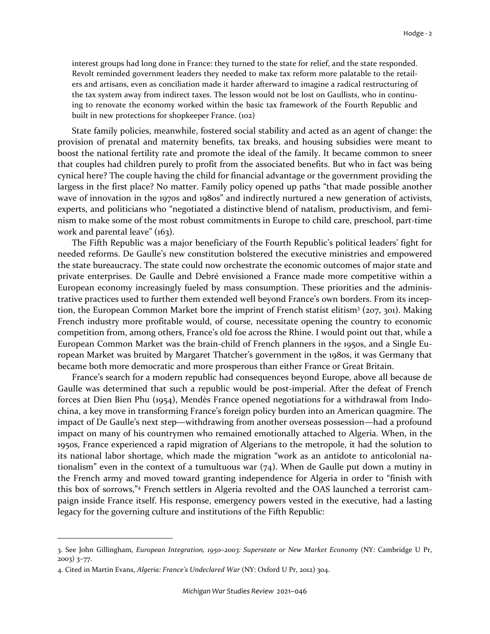interest groups had long done in France: they turned to the state for relief, and the state responded. Revolt reminded government leaders they needed to make tax reform more palatable to the retailers and artisans, even as conciliation made it harder afterward to imagine a radical restructuring of the tax system away from indirect taxes. The lesson would not be lost on Gaullists, who in continuing to renovate the economy worked within the basic tax framework of the Fourth Republic and built in new protections for shopkeeper France. (102)

State family policies, meanwhile, fostered social stability and acted as an agent of change: the provision of prenatal and maternity benefits, tax breaks, and housing subsidies were meant to boost the national fertility rate and promote the ideal of the family. It became common to sneer that couples had children purely to profit from the associated benefits. But who in fact was being cynical here? The couple having the child for financial advantage or the government providing the largess in the first place? No matter. Family policy opened up paths "that made possible another wave of innovation in the 1970s and 1980s" and indirectly nurtured a new generation of activists, experts, and politicians who "negotiated a distinctive blend of natalism, productivism, and feminism to make some of the most robust commitments in Europe to child care, preschool, part-time work and parental leave" (163).

The Fifth Republic was a major beneficiary of the Fourth Republic's political leaders' fight for needed reforms. De Gaulle's new constitution bolstered the executive ministries and empowered the state bureaucracy. The state could now orchestrate the economic outcomes of major state and private enterprises. De Gaulle and Debré envisioned a France made more competitive within a European economy increasingly fueled by mass consumption. These priorities and the administrative practices used to further them extended well beyond France's own borders. From its inception, the European Common Market bore the imprint of French statist elitism<sup>3</sup> (207, 301). Making French industry more profitable would, of course, necessitate opening the country to economic competition from, among others, France's old foe across the Rhine. I would point out that, while a European Common Market was the brain-child of French planners in the 1950s, and a Single European Market was bruited by Margaret Thatcher's government in the 1980s, it was Germany that became both more democratic and more prosperous than either France or Great Britain.

France's search for a modern republic had consequences beyond Europe, above all because de Gaulle was determined that such a republic would be post-imperial. After the defeat of French forces at Dien Bien Phu (1954), Mendès France opened negotiations for a withdrawal from Indochina, a key move in transforming France's foreign policy burden into an American quagmire. The impact of De Gaulle's next step—withdrawing from another overseas possession—had a profound impact on many of his countrymen who remained emotionally attached to Algeria. When, in the 1950s, France experienced a rapid migration of Algerians to the metropole, it had the solution to its national labor shortage, which made the migration "work as an antidote to anticolonial nationalism" even in the context of a tumultuous war  $(74)$ . When de Gaulle put down a mutiny in the French army and moved toward granting independence for Algeria in order to "finish with this box of sorrows,"<sup>4</sup> French settlers in Algeria revolted and the OAS launched a terrorist campaign inside France itself. His response, emergency powers vested in the executive, had a lasting legacy for the governing culture and institutions of the Fifth Republic:

<sup>3.</sup> See John Gillingham, *European Integration, 1950–2003: Superstate or New Market Economy* (NY: Cambridge U Pr, 2003) 3–77.

<sup>4.</sup> Cited in Martin Evans, *Algeria: France's Undeclared War* (NY: Oxford U Pr, 2012) 304.